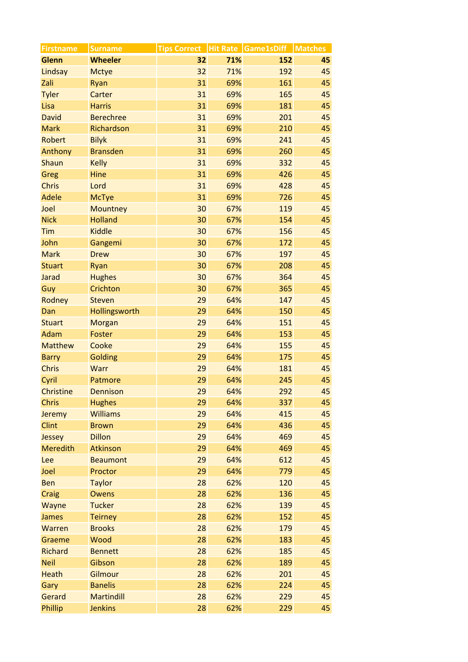| <b>Firstname</b> | <b>Surname</b>    |    |     | Tips Correct   Hit Rate   Game1sDiff   Matches |    |
|------------------|-------------------|----|-----|------------------------------------------------|----|
| <b>Glenn</b>     | <b>Wheeler</b>    | 32 | 71% | 152                                            | 45 |
| Lindsay          | <b>Mctye</b>      | 32 | 71% | 192                                            | 45 |
| Zali             | Ryan              | 31 | 69% | 161                                            | 45 |
| <b>Tyler</b>     | Carter            | 31 | 69% | 165                                            | 45 |
| Lisa             | <b>Harris</b>     | 31 | 69% | 181                                            | 45 |
| <b>David</b>     | <b>Berechree</b>  | 31 | 69% | 201                                            | 45 |
| <b>Mark</b>      | Richardson        | 31 | 69% | 210                                            | 45 |
| Robert           | <b>Bilyk</b>      | 31 | 69% | 241                                            | 45 |
| Anthony          | <b>Bransden</b>   | 31 | 69% | 260                                            | 45 |
| Shaun            | <b>Kelly</b>      | 31 | 69% | 332                                            | 45 |
| Greg             | Hine              | 31 | 69% | 426                                            | 45 |
| <b>Chris</b>     | Lord              | 31 | 69% | 428                                            | 45 |
| Adele            | <b>McTye</b>      | 31 | 69% | 726                                            | 45 |
| Joel             | <b>Mountney</b>   | 30 | 67% | 119                                            | 45 |
| <b>Nick</b>      | <b>Holland</b>    | 30 | 67% | 154                                            | 45 |
| Tim              | <b>Kiddle</b>     | 30 | 67% | 156                                            | 45 |
| John             | Gangemi           | 30 | 67% | 172                                            | 45 |
| <b>Mark</b>      | <b>Drew</b>       | 30 | 67% | 197                                            | 45 |
| <b>Stuart</b>    | Ryan              | 30 | 67% | 208                                            | 45 |
| Jarad            | <b>Hughes</b>     | 30 | 67% | 364                                            | 45 |
| Guy              | Crichton          | 30 | 67% | 365                                            | 45 |
| Rodney           | <b>Steven</b>     | 29 | 64% | 147                                            | 45 |
| Dan              | Hollingsworth     | 29 | 64% | 150                                            | 45 |
| <b>Stuart</b>    | Morgan            | 29 | 64% | 151                                            | 45 |
| Adam             | Foster            | 29 | 64% | 153                                            | 45 |
| <b>Matthew</b>   | Cooke             | 29 | 64% | 155                                            | 45 |
| <b>Barry</b>     | Golding           | 29 | 64% | 175                                            | 45 |
| <b>Chris</b>     | Warr              | 29 | 64% | 181                                            | 45 |
| Cyril            | Patmore           | 29 | 64% | 245                                            | 45 |
| <b>Christine</b> | <b>Dennison</b>   | 29 | 64% | 292                                            | 45 |
| <b>Chris</b>     | <b>Hughes</b>     | 29 | 64% | 337                                            | 45 |
| Jeremy           | <b>Williams</b>   | 29 | 64% | 415                                            | 45 |
| <b>Clint</b>     | <b>Brown</b>      | 29 | 64% | 436                                            | 45 |
| Jessey           | <b>Dillon</b>     | 29 | 64% | 469                                            | 45 |
| <b>Meredith</b>  | Atkinson          | 29 | 64% | 469                                            | 45 |
| Lee              | <b>Beaumont</b>   | 29 | 64% | 612                                            | 45 |
| Joel             | Proctor           | 29 | 64% | 779                                            | 45 |
| Ben              | <b>Taylor</b>     | 28 | 62% | 120                                            | 45 |
| Craig            | Owens             | 28 | 62% | 136                                            | 45 |
| Wayne            | <b>Tucker</b>     | 28 | 62% | 139                                            | 45 |
| James            | <b>Teirney</b>    | 28 | 62% | 152                                            | 45 |
| Warren           | <b>Brooks</b>     | 28 | 62% | 179                                            | 45 |
| Graeme           | Wood              | 28 | 62% | 183                                            | 45 |
| <b>Richard</b>   | <b>Bennett</b>    | 28 | 62% | 185                                            | 45 |
| <b>Neil</b>      | Gibson            | 28 | 62% | 189                                            | 45 |
| <b>Heath</b>     | Gilmour           | 28 | 62% | 201                                            | 45 |
| Gary             | <b>Banelis</b>    | 28 | 62% | 224                                            | 45 |
| Gerard           | <b>Martindill</b> | 28 | 62% | 229                                            | 45 |
| Phillip          | <b>Jenkins</b>    | 28 | 62% | 229                                            | 45 |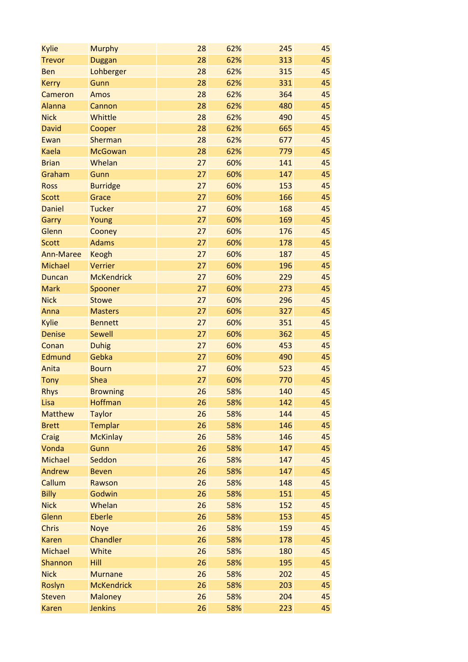| <b>Kylie</b>     | <b>Murphy</b>     | 28 | 62% | 245 | 45 |
|------------------|-------------------|----|-----|-----|----|
| <b>Trevor</b>    | <b>Duggan</b>     | 28 | 62% | 313 | 45 |
| <b>Ben</b>       | Lohberger         | 28 | 62% | 315 | 45 |
| <b>Kerry</b>     | Gunn              | 28 | 62% | 331 | 45 |
| Cameron          | Amos              | 28 | 62% | 364 | 45 |
| <b>Alanna</b>    | Cannon            | 28 | 62% | 480 | 45 |
| <b>Nick</b>      | Whittle           | 28 | 62% | 490 | 45 |
| <b>David</b>     | Cooper            | 28 | 62% | 665 | 45 |
| Ewan             | Sherman           | 28 | 62% | 677 | 45 |
| <b>Kaela</b>     | <b>McGowan</b>    | 28 | 62% | 779 | 45 |
| <b>Brian</b>     | Whelan            | 27 | 60% | 141 | 45 |
| Graham           | Gunn              | 27 | 60% | 147 | 45 |
| <b>Ross</b>      | <b>Burridge</b>   | 27 | 60% | 153 | 45 |
| <b>Scott</b>     | Grace             | 27 | 60% | 166 | 45 |
| <b>Daniel</b>    | <b>Tucker</b>     | 27 | 60% | 168 | 45 |
| Garry            | Young             | 27 | 60% | 169 | 45 |
| Glenn            | Cooney            | 27 | 60% | 176 | 45 |
| <b>Scott</b>     | <b>Adams</b>      | 27 | 60% | 178 | 45 |
| <b>Ann-Maree</b> | <b>Keogh</b>      | 27 | 60% | 187 | 45 |
| <b>Michael</b>   | Verrier           | 27 | 60% | 196 | 45 |
| <b>Duncan</b>    | <b>McKendrick</b> | 27 | 60% | 229 | 45 |
| <b>Mark</b>      | Spooner           | 27 | 60% | 273 | 45 |
| <b>Nick</b>      | <b>Stowe</b>      | 27 | 60% | 296 | 45 |
| Anna             | <b>Masters</b>    | 27 | 60% | 327 | 45 |
| Kylie            | <b>Bennett</b>    | 27 | 60% | 351 | 45 |
| <b>Denise</b>    | <b>Sewell</b>     | 27 | 60% | 362 | 45 |
| Conan            | <b>Duhig</b>      | 27 | 60% | 453 | 45 |
| Edmund           | Gebka             | 27 | 60% | 490 | 45 |
| Anita            | <b>Bourn</b>      | 27 | 60% | 523 | 45 |
| <b>Tony</b>      | <b>Shea</b>       | 27 | 60% | 770 | 45 |
| <b>Rhys</b>      | <b>Browning</b>   | 26 | 58% | 140 | 45 |
| Lisa             | Hoffman           | 26 | 58% | 142 | 45 |
| <b>Matthew</b>   | <b>Taylor</b>     | 26 | 58% | 144 | 45 |
| <b>Brett</b>     | <b>Templar</b>    | 26 | 58% | 146 | 45 |
| Craig            | <b>McKinlay</b>   | 26 | 58% | 146 | 45 |
| Vonda            | Gunn              | 26 | 58% | 147 | 45 |
| <b>Michael</b>   | Seddon            | 26 | 58% | 147 | 45 |
| Andrew           | <b>Beven</b>      | 26 | 58% | 147 | 45 |
| Callum           | Rawson            | 26 | 58% | 148 | 45 |
| <b>Billy</b>     | Godwin            | 26 | 58% | 151 | 45 |
| <b>Nick</b>      | Whelan            | 26 | 58% | 152 | 45 |
| Glenn            | <b>Eberle</b>     | 26 | 58% | 153 | 45 |
| <b>Chris</b>     | <b>Noye</b>       | 26 | 58% | 159 | 45 |
| <b>Karen</b>     | Chandler          | 26 | 58% | 178 | 45 |
| <b>Michael</b>   | White             | 26 | 58% | 180 | 45 |
| Shannon          | Hill              | 26 | 58% | 195 | 45 |
| <b>Nick</b>      | <b>Murnane</b>    | 26 | 58% | 202 | 45 |
| Roslyn           | <b>McKendrick</b> | 26 | 58% | 203 | 45 |
| <b>Steven</b>    | <b>Maloney</b>    | 26 | 58% | 204 | 45 |
| <b>Karen</b>     | <b>Jenkins</b>    | 26 | 58% | 223 | 45 |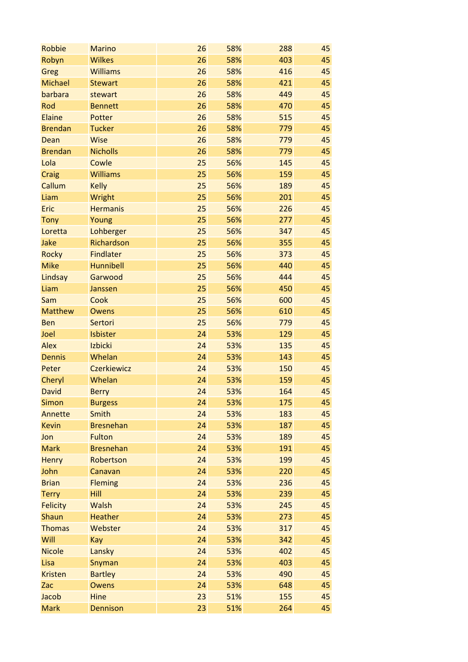| Robbie          | <b>Marino</b>      | 26 | 58% | 288 | 45 |
|-----------------|--------------------|----|-----|-----|----|
| Robyn           | <b>Wilkes</b>      | 26 | 58% | 403 | 45 |
| Greg            | <b>Williams</b>    | 26 | 58% | 416 | 45 |
| <b>Michael</b>  | <b>Stewart</b>     | 26 | 58% | 421 | 45 |
| barbara         | stewart            | 26 | 58% | 449 | 45 |
| Rod             | <b>Bennett</b>     | 26 | 58% | 470 | 45 |
| Elaine          | Potter             | 26 | 58% | 515 | 45 |
| <b>Brendan</b>  | <b>Tucker</b>      | 26 | 58% | 779 | 45 |
| Dean            | <b>Wise</b>        | 26 | 58% | 779 | 45 |
| <b>Brendan</b>  | <b>Nicholls</b>    | 26 | 58% | 779 | 45 |
| Lola            | Cowle              | 25 | 56% | 145 | 45 |
| Craig           | <b>Williams</b>    | 25 | 56% | 159 | 45 |
| Callum          | <b>Kelly</b>       | 25 | 56% | 189 | 45 |
| Liam            | Wright             | 25 | 56% | 201 | 45 |
| Eric            | <b>Hermanis</b>    | 25 | 56% | 226 | 45 |
| <b>Tony</b>     | Young              | 25 | 56% | 277 | 45 |
| Loretta         | Lohberger          | 25 | 56% | 347 | 45 |
| Jake            | Richardson         | 25 | 56% | 355 | 45 |
| <b>Rocky</b>    | <b>Findlater</b>   | 25 | 56% | 373 | 45 |
| <b>Mike</b>     | Hunnibell          | 25 | 56% | 440 | 45 |
| Lindsay         | Garwood            | 25 | 56% | 444 | 45 |
| Liam            | Janssen            | 25 | 56% | 450 | 45 |
| Sam             | Cook               | 25 | 56% | 600 | 45 |
| <b>Matthew</b>  | <b>Owens</b>       | 25 | 56% | 610 | 45 |
| <b>Ben</b>      | Sertori            | 25 | 56% | 779 | 45 |
| Joel            | Isbister           | 24 | 53% | 129 | 45 |
| <b>Alex</b>     | Izbicki            | 24 | 53% | 135 | 45 |
| <b>Dennis</b>   | Whelan             | 24 | 53% | 143 | 45 |
| Peter           | <b>Czerkiewicz</b> | 24 | 53% | 150 | 45 |
| Cheryl          | Whelan             | 24 | 53% | 159 | 45 |
| <b>David</b>    | <b>Berry</b>       | 24 | 53% | 164 | 45 |
| <b>Simon</b>    | <b>Burgess</b>     | 24 | 53% | 175 | 45 |
| Annette         | Smith              | 24 | 53% | 183 | 45 |
| <b>Kevin</b>    | <b>Bresnehan</b>   | 24 | 53% | 187 | 45 |
| Jon             | <b>Fulton</b>      | 24 | 53% | 189 | 45 |
| <b>Mark</b>     | <b>Bresnehan</b>   | 24 | 53% | 191 | 45 |
| <b>Henry</b>    | Robertson          | 24 | 53% | 199 | 45 |
| John            | Canavan            | 24 | 53% | 220 | 45 |
| <b>Brian</b>    | <b>Fleming</b>     | 24 | 53% | 236 | 45 |
| <b>Terry</b>    | Hill               | 24 | 53% | 239 | 45 |
| <b>Felicity</b> | Walsh              | 24 | 53% | 245 | 45 |
| Shaun           | <b>Heather</b>     | 24 | 53% | 273 | 45 |
| <b>Thomas</b>   | Webster            | 24 | 53% | 317 | 45 |
|                 |                    | 24 |     |     |    |
| Will            | Kay                |    | 53% | 342 | 45 |
| <b>Nicole</b>   | Lansky             | 24 | 53% | 402 | 45 |
| Lisa            | Snyman             | 24 | 53% | 403 | 45 |
| <b>Kristen</b>  | <b>Bartley</b>     | 24 | 53% | 490 | 45 |
| Zac             | <b>Owens</b>       | 24 | 53% | 648 | 45 |
| Jacob           | Hine               | 23 | 51% | 155 | 45 |
| <b>Mark</b>     | <b>Dennison</b>    | 23 | 51% | 264 | 45 |